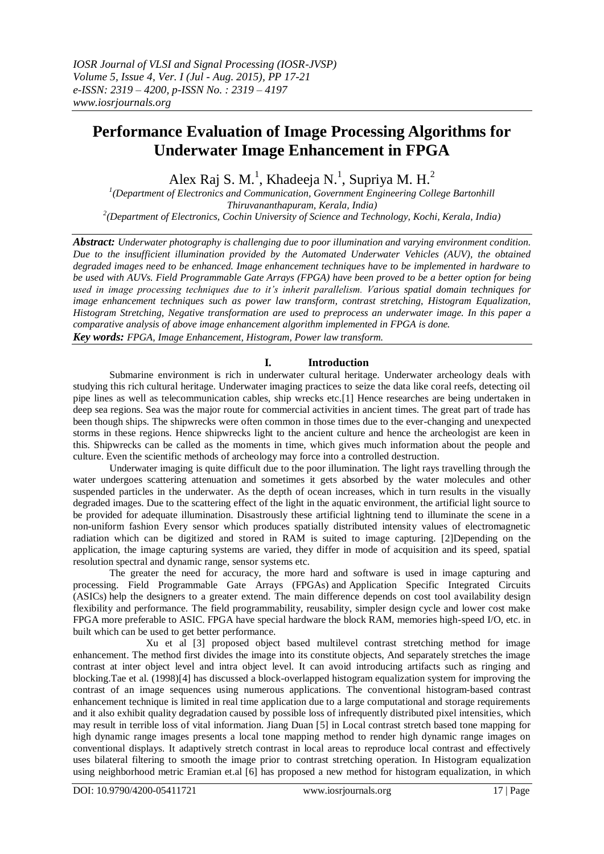# **Performance Evaluation of Image Processing Algorithms for Underwater Image Enhancement in FPGA**

Alex Raj S. M.<sup>1</sup>, Khadeeja N.<sup>1</sup>, Supriya M. H.<sup>2</sup>

<sup>1</sup>(Department of Electronics and Communication, Government Engineering College Bartonhill *Thiruvananthapuram, Kerala, India) 2 (Department of Electronics, Cochin University of Science and Technology, Kochi, Kerala, India)*

*Abstract: Underwater photography is challenging due to poor illumination and varying environment condition. Due to the insufficient illumination provided by the Automated Underwater Vehicles (AUV), the obtained degraded images need to be enhanced. Image enhancement techniques have to be implemented in hardware to be used with AUVs. Field Programmable Gate Arrays (FPGA) have been proved to be a better option for being used in image processing techniques due to it's inherit parallelism. Various spatial domain techniques for image enhancement techniques such as power law transform, contrast stretching, Histogram Equalization, Histogram Stretching, Negative transformation are used to preprocess an underwater image. In this paper a comparative analysis of above image enhancement algorithm implemented in FPGA is done. Key words: FPGA, Image Enhancement, Histogram, Power law transform.*

# **I. Introduction**

Submarine environment is rich in underwater cultural heritage. Underwater archeology deals with studying this rich cultural heritage. Underwater imaging practices to seize the data like coral reefs, detecting oil pipe lines as well as telecommunication cables, ship wrecks etc.[1] Hence researches are being undertaken in deep sea regions. Sea was the major route for commercial activities in ancient times. The great part of trade has been though ships. The shipwrecks were often common in those times due to the ever-changing and unexpected storms in these regions. Hence shipwrecks light to the ancient culture and hence the archeologist are keen in this. Shipwrecks can be called as the moments in time, which gives much information about the people and culture. Even the scientific methods of archeology may force into a controlled destruction.

Underwater imaging is quite difficult due to the poor illumination. The light rays travelling through the water undergoes scattering attenuation and sometimes it gets absorbed by the water molecules and other suspended particles in the underwater. As the depth of ocean increases, which in turn results in the visually degraded images. Due to the scattering effect of the light in the aquatic environment, the artificial light source to be provided for adequate illumination. Disastrously these artificial lightning tend to illuminate the scene in a non-uniform fashion Every sensor which produces spatially distributed intensity values of electromagnetic radiation which can be digitized and stored in RAM is suited to image capturing. [2]Depending on the application, the image capturing systems are varied, they differ in mode of acquisition and its speed, spatial resolution spectral and dynamic range, sensor systems etc.

The greater the need for accuracy, the more hard and software is used in image capturing and processing. Field Programmable Gate Arrays (FPGAs) and Application Specific Integrated Circuits (ASICs) help the designers to a greater extend. The main difference depends on cost tool availability design flexibility and performance. The field programmability, reusability, simpler design cycle and lower cost make FPGA more preferable to ASIC. FPGA have special hardware the block RAM, memories high-speed I/O, etc. in built which can be used to get better performance.

Xu et al [3] proposed object based multilevel contrast stretching method for image enhancement. The method first divides the image into its constitute objects, And separately stretches the image contrast at inter object level and intra object level. It can avoid introducing artifacts such as ringing and blocking.Tae et al. (1998)[4] has discussed a block-overlapped histogram equalization system for improving the contrast of an image sequences using numerous applications. The conventional histogram-based contrast enhancement technique is limited in real time application due to a large computational and storage requirements and it also exhibit quality degradation caused by possible loss of infrequently distributed pixel intensities, which may result in terrible loss of vital information. Jiang Duan [5] in Local contrast stretch based tone mapping for high dynamic range images presents a local tone mapping method to render high dynamic range images on conventional displays. It adaptively stretch contrast in local areas to reproduce local contrast and effectively uses bilateral filtering to smooth the image prior to contrast stretching operation. In Histogram equalization using neighborhood metric Eramian et.al [6] has proposed a new method for histogram equalization, in which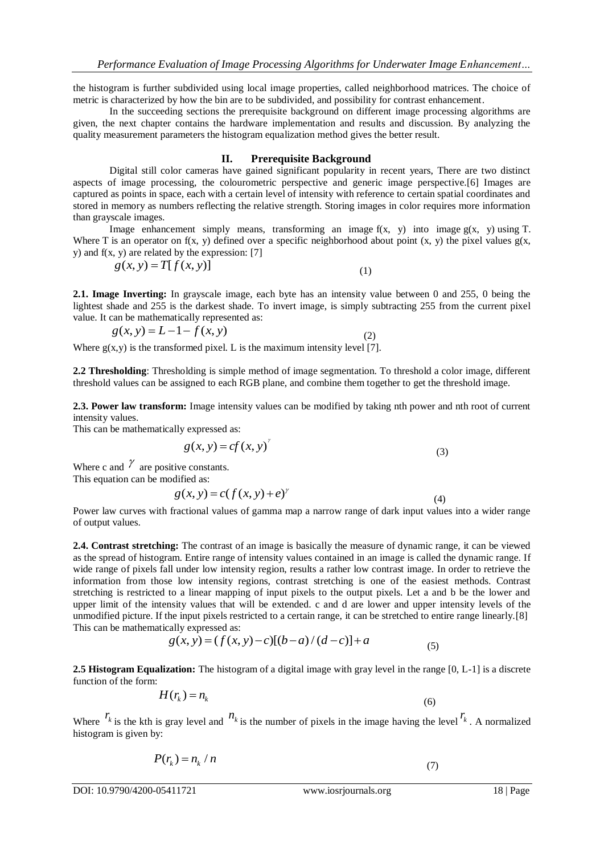the histogram is further subdivided using local image properties, called neighborhood matrices. The choice of metric is characterized by how the bin are to be subdivided, and possibility for contrast enhancement.

In the succeeding sections the prerequisite background on different image processing algorithms are given, the next chapter contains the hardware implementation and results and discussion. By analyzing the quality measurement parameters the histogram equalization method gives the better result.

## **II. Prerequisite Background**

Digital still color cameras have gained significant popularity in recent years, There are two distinct aspects of image processing, the colourometric perspective and generic image perspective.[6] Images are captured as points in space, each with a certain level of intensity with reference to certain spatial coordinates and stored in memory as numbers reflecting the relative strength. Storing images in color requires more information than grayscale images.

Image enhancement simply means, transforming an image  $f(x, y)$  into image  $g(x, y)$  using T. Where T is an operator on  $f(x, y)$  defined over a specific neighborhood about point  $(x, y)$  the pixel values  $g(x, y)$ y) and  $f(x, y)$  are related by the expression: [7]

$$
g(x, y) = T[f(x, y)] \tag{1}
$$

**2.1. Image Inverting:** In grayscale image, each byte has an intensity value between 0 and 255, 0 being the lightest shade and 255 is the darkest shade. To invert image, is simply subtracting 255 from the current pixel value. It can be mathematically represented as:

(2)

$$
g(x, y) = L - 1 - f(x, y)
$$

Where  $g(x, y)$  is the transformed pixel. L is the maximum intensity level [7].

**2.2 Thresholding**: Thresholding is simple method of image segmentation. To threshold a color image, different threshold values can be assigned to each RGB plane, and combine them together to get the threshold image.

**2.3. Power law transform:** Image intensity values can be modified by taking nth power and nth root of current intensity values.

This can be mathematically expressed as:

$$
g(x, y) = cf(x, y)^{x}
$$
\n(3)

Where c and  $\gamma$  are positive constants. This equation can be modified as:

$$
g(x, y) = c(f(x, y) + e)^{y}
$$
\n(4)

Power law curves with fractional values of gamma map a narrow range of dark input values into a wider range of output values.

**2.4. Contrast stretching:** The contrast of an image is basically the measure of dynamic range, it can be viewed as the spread of histogram. Entire range of intensity values contained in an image is called the dynamic range. If wide range of pixels fall under low intensity region, results a rather low contrast image. In order to retrieve the information from those low intensity regions, contrast stretching is one of the easiest methods. Contrast stretching is restricted to a linear mapping of input pixels to the output pixels. Let a and b be the lower and upper limit of the intensity values that will be extended. c and d are lower and upper intensity levels of the unmodified picture. If the input pixels restricted to a certain range, it can be stretched to entire range linearly.[8]<br>This can be mathematically expressed as:<br> $g(x, y) = (f(x, y) - c)[(b - a)/(d - c)] + a$  (5) This can be mathematically expressed as:

$$
g(x, y) = (f(x, y) - c)[(b - a)/(d - c)] + a
$$
\n(5)

**2.5 Histogram Equalization:** The histogram of a digital image with gray level in the range [0, L-1] is a discrete function of the form:

$$
H(r_k) = n_k \tag{6}
$$

Where  $r_k$  is the kth is gray level and  $n_k$  is the number of pixels in the image having the level  $r_k$ . A normalized histogram is given by:

$$
P(r_k) = n_k / n \tag{7}
$$

DOI: 10.9790/4200-05411721 www.iosrjournals.org 18 | Page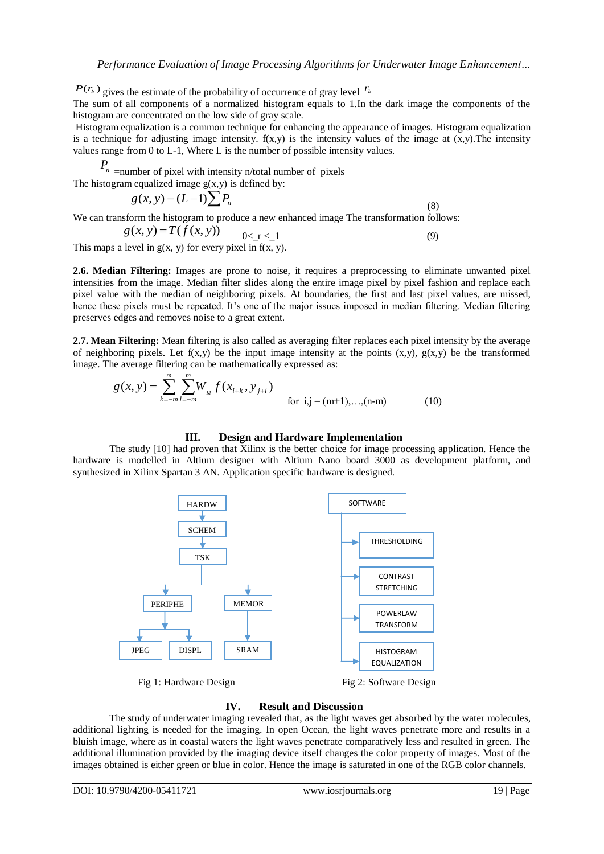$P(r_k)$  gives the estimate of the probability of occurrence of gray level  $r_k$ 

The sum of all components of a normalized histogram equals to 1.In the dark image the components of the histogram are concentrated on the low side of gray scale.

Histogram equalization is a common technique for enhancing the appearance of images. Histogram equalization is a technique for adjusting image intensity.  $f(x,y)$  is the intensity values of the image at  $(x,y)$ . The intensity values range from 0 to L-1, Where L is the number of possible intensity values.

*P n* =number of pixel with intensity n/total number of pixels

The histogram equalized image  $g(x,y)$  is defined by:

$$
g(x, y) = (L-1)\sum P_n
$$
\n(8)

We can transform the histogram to produce a new enhanced image. The transformation follows:  
\n
$$
g(x, y) = T(f(x, y)) \qquad \underset{0 < r < 1}{0 < x < 1} \tag{9}
$$

This maps a level in  $g(x, y)$  for every pixel in  $f(x, y)$ .

**2.6. Median Filtering:** Images are prone to noise, it requires a preprocessing to eliminate unwanted pixel intensities from the image. Median filter slides along the entire image pixel by pixel fashion and replace each pixel value with the median of neighboring pixels. At boundaries, the first and last pixel values, are missed, hence these pixels must be repeated. It's one of the major issues imposed in median filtering. Median filtering preserves edges and removes noise to a great extent.

**2.7. Mean Filtering:** Mean filtering is also called as averaging filter replaces each pixel intensity by the average of neighboring pixels. Let  $f(x,y)$  be the input image intensity at the points  $(x,y)$ ,  $g(x,y)$  be the transformed image. The average filtering can be mathematically expressed as:

$$
g(x, y) = \sum_{k=-m}^{m} \sum_{l=-m}^{m} W_{k} f(x_{i+k}, y_{j+l})
$$
 for  $i, j = (m+1), ..., (n-m)$  (10)

## **III. Design and Hardware Implementation**

The study [10] had proven that Xilinx is the better choice for image processing application. Hence the hardware is modelled in Altium designer with Altium Nano board 3000 as development platform, and synthesized in Xilinx Spartan 3 AN. Application specific hardware is designed.



Fig 1: Hardware Design Fig 2: Software Design

## **IV. Result and Discussion**

The study of underwater imaging revealed that, as the light waves get absorbed by the water molecules, additional lighting is needed for the imaging. In open Ocean, the light waves penetrate more and results in a bluish image, where as in coastal waters the light waves penetrate comparatively less and resulted in green. The additional illumination provided by the imaging device itself changes the color property of images. Most of the images obtained is either green or blue in color. Hence the image is saturated in one of the RGB color channels.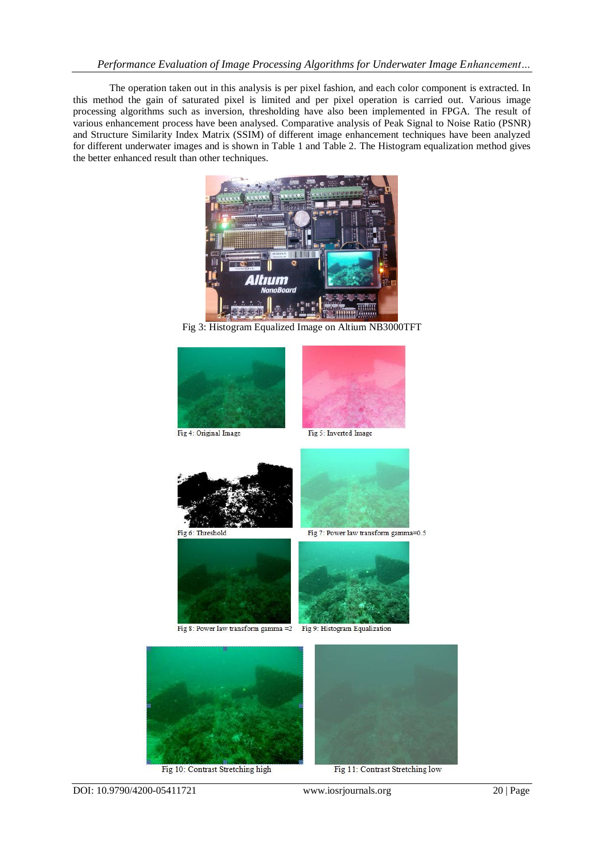## *Performance Evaluation of Image Processing Algorithms for Underwater Image Enhancement…*

The operation taken out in this analysis is per pixel fashion, and each color component is extracted. In this method the gain of saturated pixel is limited and per pixel operation is carried out. Various image processing algorithms such as inversion, thresholding have also been implemented in FPGA. The result of various enhancement process have been analysed. Comparative analysis of Peak Signal to Noise Ratio (PSNR) and Structure Similarity Index Matrix (SSIM) of different image enhancement techniques have been analyzed for different underwater images and is shown in Table 1 and Table 2. The Histogram equalization method gives the better enhanced result than other techniques.



Fig 3: Histogram Equalized Image on Altium NB3000TFT



Fig 10: Contrast Stretching high



Fig 11: Contrast Stretching low